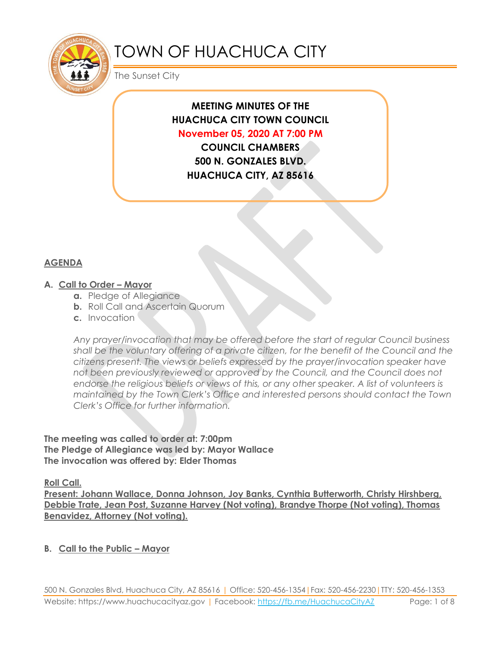

# TOWN OF HUACHUCA CITY

The Sunset City

## **MEETING MINUTES OF THE HUACHUCA CITY TOWN COUNCIL November 05, 2020 AT 7:00 PM**

**COUNCIL CHAMBERS 500 N. GONZALES BLVD. HUACHUCA CITY, AZ 85616**

#### **AGENDA**

#### **A. Call to Order – Mayor**

- **a.** Pledge of Allegiance
- **b.** Roll Call and Ascertain Quorum
- **c.** Invocation

*Any prayer/invocation that may be offered before the start of regular Council business shall be the voluntary offering of a private citizen, for the benefit of the Council and the citizens present. The views or beliefs expressed by the prayer/invocation speaker have not been previously reviewed or approved by the Council, and the Council does not endorse the religious beliefs or views of this, or any other speaker. A list of volunteers is maintained by the Town Clerk's Office and interested persons should contact the Town Clerk's Office for further information.*

#### **The meeting was called to order at: 7:00pm The Pledge of Allegiance was led by: Mayor Wallace The invocation was offered by: Elder Thomas**

**Roll Call.**

**Present: Johann Wallace, Donna Johnson, Joy Banks, Cynthia Butterworth, Christy Hirshberg, Debbie Trate, Jean Post, Suzanne Harvey (Not voting), Brandye Thorpe (Not voting), Thomas Benavidez, Attorney (Not voting).**

#### **B. Call to the Public – Mayor**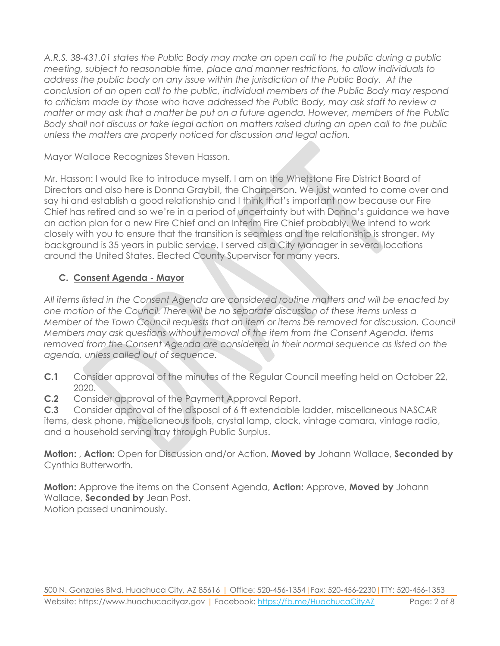*A.R.S. 38-431.01 states the Public Body may make an open call to the public during a public meeting, subject to reasonable time, place and manner restrictions, to allow individuals to address the public body on any issue within the jurisdiction of the Public Body. At the conclusion of an open call to the public, individual members of the Public Body may respond to criticism made by those who have addressed the Public Body, may ask staff to review a matter or may ask that a matter be put on a future agenda. However, members of the Public Body shall not discuss or take legal action on matters raised during an open call to the public unless the matters are properly noticed for discussion and legal action.*

Mayor Wallace Recognizes Steven Hasson.

Mr. Hasson: I would like to introduce myself, I am on the Whetstone Fire District Board of Directors and also here is Donna Graybill, the Chairperson. We just wanted to come over and say hi and establish a good relationship and I think that's important now because our Fire Chief has retired and so we're in a period of uncertainty but with Donna's guidance we have an action plan for a new Fire Chief and an Interim Fire Chief probably. We intend to work closely with you to ensure that the transition is seamless and the relationship is stronger. My background is 35 years in public service, I served as a City Manager in several locations around the United States. Elected County Supervisor for many years.

### **C. Consent Agenda - Mayor**

*All items listed in the Consent Agenda are considered routine matters and will be enacted by one motion of the Council. There will be no separate discussion of these items unless a Member of the Town Council requests that an item or items be removed for discussion. Council Members may ask questions without removal of the item from the Consent Agenda. Items removed from the Consent Agenda are considered in their normal sequence as listed on the agenda, unless called out of sequence.*

- **C.1** Consider approval of the minutes of the Regular Council meeting held on October 22, 2020.
- **C.2** Consider approval of the Payment Approval Report.

**C.3** Consider approval of the disposal of 6 ft extendable ladder, miscellaneous NASCAR items, desk phone, miscellaneous tools, crystal lamp, clock, vintage camara, vintage radio, and a household serving tray through Public Surplus.

**Motion:** , **Action:** Open for Discussion and/or Action, **Moved by** Johann Wallace, **Seconded by** Cynthia Butterworth.

**Motion:** Approve the items on the Consent Agenda, **Action:** Approve, **Moved by** Johann Wallace, **Seconded by** Jean Post.

Motion passed unanimously.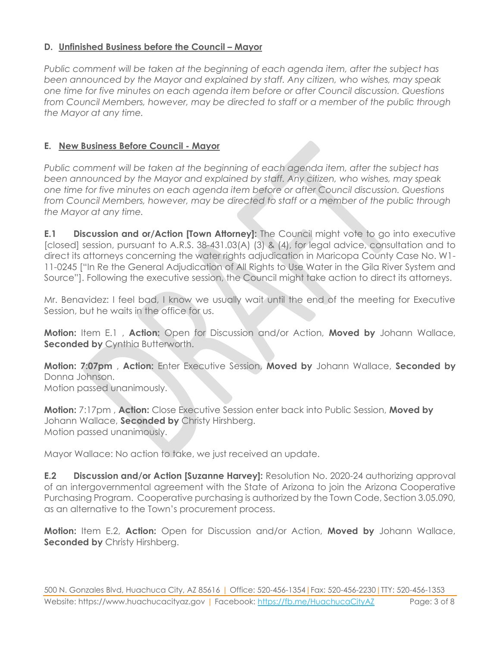#### **D. Unfinished Business before the Council – Mayor**

*Public comment will be taken at the beginning of each agenda item, after the subject has been announced by the Mayor and explained by staff. Any citizen, who wishes, may speak one time for five minutes on each agenda item before or after Council discussion. Questions from Council Members, however, may be directed to staff or a member of the public through the Mayor at any time.*

#### **E. New Business Before Council - Mayor**

*Public comment will be taken at the beginning of each agenda item, after the subject has been announced by the Mayor and explained by staff. Any citizen, who wishes, may speak one time for five minutes on each agenda item before or after Council discussion. Questions from Council Members, however, may be directed to staff or a member of the public through the Mayor at any time.*

**E.1 Discussion and or/Action [Town Attorney]:** The Council might vote to go into executive [closed] session, pursuant to A.R.S. 38-431.03(A) (3) & (4), for legal advice, consultation and to direct its attorneys concerning the water rights adjudication in Maricopa County Case No. W1- 11-0245 ["In Re the General Adjudication of All Rights to Use Water in the Gila River System and Source"]. Following the executive session, the Council might take action to direct its attorneys.

Mr. Benavidez: I feel bad, I know we usually wait until the end of the meeting for Executive Session, but he waits in the office for us.

**Motion:** Item E.1 , **Action:** Open for Discussion and/or Action, **Moved by** Johann Wallace, **Seconded by Cynthia Butterworth.** 

**Motion: 7:07pm** , **Action:** Enter Executive Session, **Moved by** Johann Wallace, **Seconded by** Donna Johnson. Motion passed unanimously.

**Motion:** 7:17pm , **Action:** Close Executive Session enter back into Public Session, **Moved by** Johann Wallace, **Seconded by** Christy Hirshberg. Motion passed unanimously.

Mayor Wallace: No action to take, we just received an update.

**E.2 Discussion and/or Action [Suzanne Harvey]:** Resolution No. 2020-24 authorizing approval of an intergovernmental agreement with the State of Arizona to join the Arizona Cooperative Purchasing Program. Cooperative purchasing is authorized by the Town Code, Section 3.05.090, as an alternative to the Town's procurement process.

**Motion:** Item E.2, **Action:** Open for Discussion and/or Action, **Moved by** Johann Wallace, **Seconded by Christy Hirshberg.**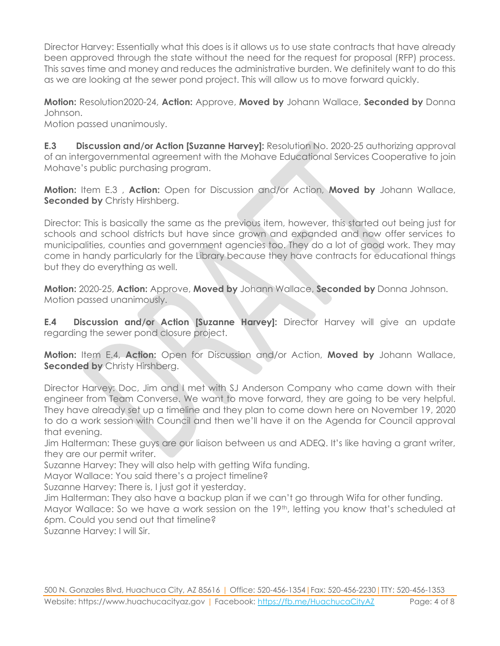Director Harvey: Essentially what this does is it allows us to use state contracts that have already been approved through the state without the need for the request for proposal (RFP) process. This saves time and money and reduces the administrative burden. We definitely want to do this as we are looking at the sewer pond project. This will allow us to move forward quickly.

**Motion:** Resolution2020-24, **Action:** Approve, **Moved by** Johann Wallace, **Seconded by** Donna Johnson.

Motion passed unanimously.

**E.3 Discussion and/or Action [Suzanne Harvey]:** Resolution No. 2020-25 authorizing approval of an intergovernmental agreement with the Mohave Educational Services Cooperative to join Mohave's public purchasing program.

**Motion:** Item E.3 , **Action:** Open for Discussion and/or Action, **Moved by** Johann Wallace, **Seconded by Christy Hirshberg.** 

Director: This is basically the same as the previous item, however, this started out being just for schools and school districts but have since grown and expanded and now offer services to municipalities, counties and government agencies too. They do a lot of good work. They may come in handy particularly for the Library because they have contracts for educational things but they do everything as well.

**Motion:** 2020-25, **Action:** Approve, **Moved by** Johann Wallace, **Seconded by** Donna Johnson. Motion passed unanimously.

**E.4 Discussion and/or Action [Suzanne Harvey]:** Director Harvey will give an update regarding the sewer pond closure project.

**Motion:** Item E.4, **Action:** Open for Discussion and/or Action, **Moved by** Johann Wallace, **Seconded by Christy Hirshberg.** 

Director Harvey: Doc, Jim and I met with SJ Anderson Company who came down with their engineer from Team Converse. We want to move forward, they are going to be very helpful. They have already set up a timeline and they plan to come down here on November 19, 2020 to do a work session with Council and then we'll have it on the Agenda for Council approval that evening.

Jim Halterman: These guys are our liaison between us and ADEQ. It's like having a grant writer, they are our permit writer.

Suzanne Harvey: They will also help with getting Wifa funding.

Mayor Wallace: You said there's a project timeline?

Suzanne Harvey: There is, I just got it yesterday.

Jim Halterman: They also have a backup plan if we can't go through Wifa for other funding. Mayor Wallace: So we have a work session on the 19th, letting you know that's scheduled at 6pm. Could you send out that timeline?

Suzanne Harvey: I will Sir.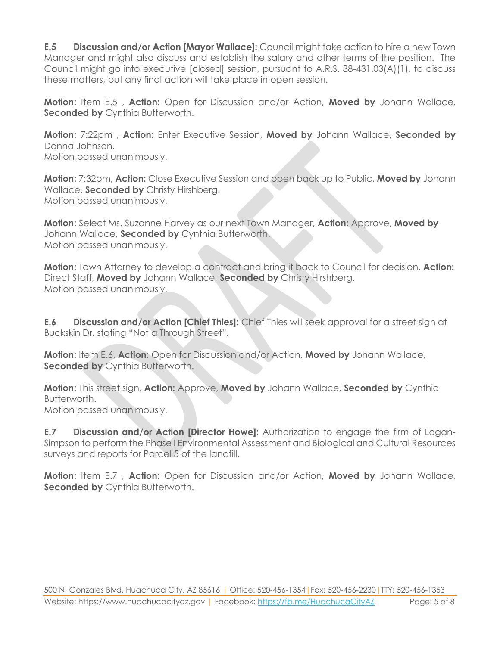**E.5 Discussion and/or Action [Mayor Wallace]:** Council might take action to hire a new Town Manager and might also discuss and establish the salary and other terms of the position. The Council might go into executive [closed] session, pursuant to A.R.S. 38-431.03(A)(1), to discuss these matters, but any final action will take place in open session.

**Motion:** Item E.5 , **Action:** Open for Discussion and/or Action, **Moved by** Johann Wallace, **Seconded by Cynthia Butterworth.** 

**Motion:** 7:22pm , **Action:** Enter Executive Session, **Moved by** Johann Wallace, **Seconded by** Donna Johnson. Motion passed unanimously.

**Motion:** 7:32pm, **Action:** Close Executive Session and open back up to Public, **Moved by** Johann Wallace, **Seconded by** Christy Hirshberg. Motion passed unanimously.

**Motion:** Select Ms. Suzanne Harvey as our next Town Manager, **Action:** Approve, **Moved by** Johann Wallace, **Seconded by** Cynthia Butterworth. Motion passed unanimously.

**Motion:** Town Attorney to develop a contract and bring it back to Council for decision, **Action:** Direct Staff, **Moved by** Johann Wallace, **Seconded by** Christy Hirshberg. Motion passed unanimously.

**E.6 Discussion and/or Action [Chief Thies]:** Chief Thies will seek approval for a street sign at Buckskin Dr. stating "Not a Through Street".

**Motion:** Item E.6, **Action:** Open for Discussion and/or Action, **Moved by** Johann Wallace, **Seconded by Cynthia Butterworth.** 

**Motion:** This street sign, **Action:** Approve, **Moved by** Johann Wallace, **Seconded by** Cynthia Butterworth.

Motion passed unanimously.

**E.7 Discussion and/or Action [Director Howe]:** Authorization to engage the firm of Logan-Simpson to perform the Phase I Environmental Assessment and Biological and Cultural Resources surveys and reports for Parcel 5 of the landfill.

**Motion:** Item E.7 , **Action:** Open for Discussion and/or Action, **Moved by** Johann Wallace, **Seconded by Cynthia Butterworth.**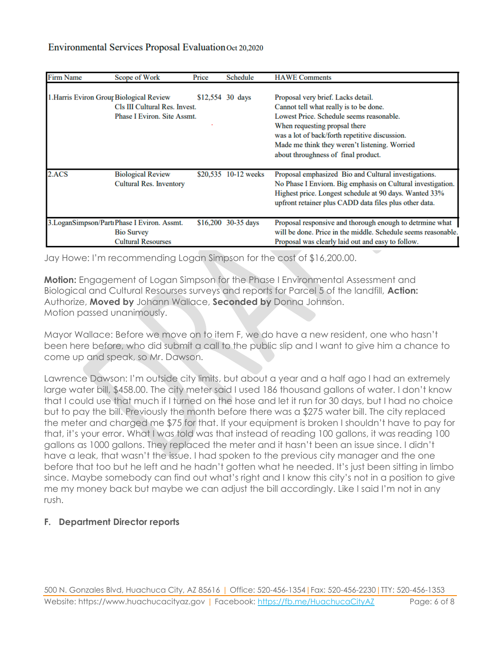| <b>Firm Name</b>                         | Scope of Work                                                                                  | Price | Schedule             | <b>HAWE</b> Comments                                                                                                                                                                                                                                                                                |
|------------------------------------------|------------------------------------------------------------------------------------------------|-------|----------------------|-----------------------------------------------------------------------------------------------------------------------------------------------------------------------------------------------------------------------------------------------------------------------------------------------------|
| 1. Harris Eviron Grour Biological Review | Cls III Cultural Res. Invest.<br>Phase I Eviron. Site Assmt.                                   |       | \$12,554 30 days     | Proposal very brief. Lacks detail.<br>Cannot tell what really is to be done.<br>Lowest Price. Schedule seems reasonable.<br>When requesting propsal there<br>was a lot of back/forth repetitive discussion.<br>Made me think they weren't listening. Worried<br>about throughness of final product. |
| 2.ACS                                    | <b>Biological Review</b><br><b>Cultural Res. Inventory</b>                                     |       | \$20,535 10-12 weeks | Proposal emphasized Bio and Cultural investigations.<br>No Phase I Enviorn. Big emphasis on Cultural investigation.<br>Highest price. Longest schedule at 90 days. Wanted 33%<br>upfront retainer plus CADD data files plus other data.                                                             |
|                                          | 3. LoganSimpson/Partı Phase I Eviron. Assmt.<br><b>Bio Survey</b><br><b>Cultural Resourses</b> |       | $$16,200$ 30-35 days | Proposal responsive and thorough enough to detrmine what<br>will be done. Price in the middle. Schedule seems reasonable.<br>Proposal was clearly laid out and easy to follow.                                                                                                                      |

Jay Howe: I'm recommending Logan Simpson for the cost of \$16,200.00.

**Motion:** Engagement of Logan Simpson for the Phase I Environmental Assessment and Biological and Cultural Resourses surveys and reports for Parcel 5 of the landfill, **Action:** Authorize, **Moved by** Johann Wallace, **Seconded by** Donna Johnson. Motion passed unanimously.

Mayor Wallace: Before we move on to item F, we do have a new resident, one who hasn't been here before, who did submit a call to the public slip and I want to give him a chance to come up and speak, so Mr. Dawson.

Lawrence Dawson: I'm outside city limits, but about a year and a half ago I had an extremely large water bill, \$458.00. The city meter said I used 186 thousand gallons of water. I don't know that I could use that much if I turned on the hose and let it run for 30 days, but I had no choice but to pay the bill. Previously the month before there was a \$275 water bill. The city replaced the meter and charged me \$75 for that. If your equipment is broken I shouldn't have to pay for that, it's your error. What I was told was that instead of reading 100 gallons, it was reading 100 gallons as 1000 gallons. They replaced the meter and it hasn't been an issue since. I didn't have a leak, that wasn't the issue. I had spoken to the previous city manager and the one before that too but he left and he hadn't gotten what he needed. It's just been sitting in limbo since. Maybe somebody can find out what's right and I know this city's not in a position to give me my money back but maybe we can adjust the bill accordingly. Like I said I'm not in any rush.

#### **F. Department Director reports**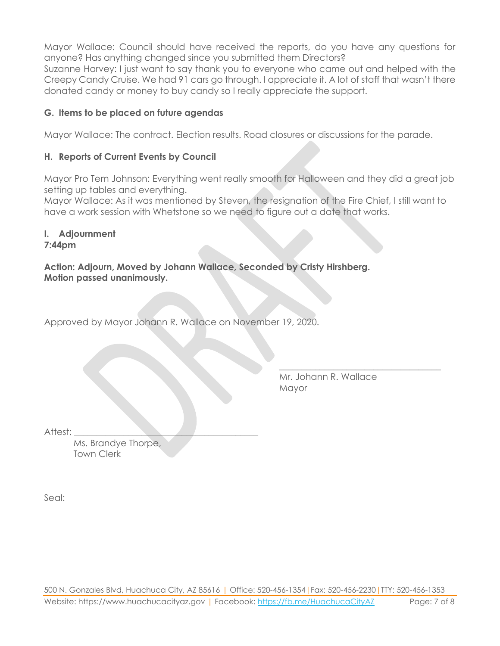Mayor Wallace: Council should have received the reports, do you have any questions for anyone? Has anything changed since you submitted them Directors?

Suzanne Harvey: I just want to say thank you to everyone who came out and helped with the Creepy Candy Cruise. We had 91 cars go through. I appreciate it. A lot of staff that wasn't there donated candy or money to buy candy so I really appreciate the support.

#### **G. Items to be placed on future agendas**

Mayor Wallace: The contract. Election results. Road closures or discussions for the parade.

#### **H. Reports of Current Events by Council**

Mayor Pro Tem Johnson: Everything went really smooth for Halloween and they did a great job setting up tables and everything.

Mayor Wallace: As it was mentioned by Steven, the resignation of the Fire Chief, I still want to have a work session with Whetstone so we need to figure out a date that works.

#### **I. Adjournment**

#### **7:44pm**

**Action: Adjourn, Moved by Johann Wallace, Seconded by Cristy Hirshberg. Motion passed unanimously.**

Approved by Mayor Johann R. Wallace on November 19, 2020.

Mr. Johann R. Wallace Mayor

\_\_\_\_\_\_\_\_\_\_\_\_\_\_\_\_\_\_\_\_\_\_\_\_\_\_\_\_\_\_\_\_\_\_\_\_

Attest:

Ms. Brandye Thorpe, Town Clerk

Seal: